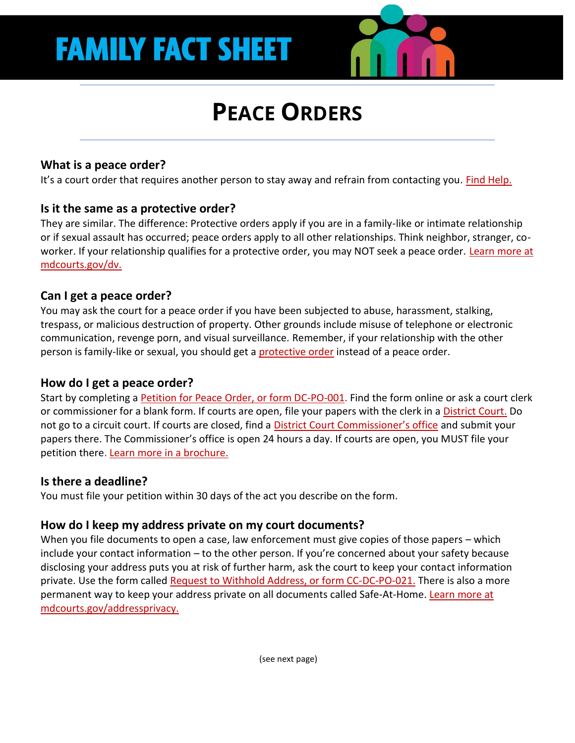# **PEACE ORDERS**

# **What is a peace order?**

It's a court order that requires another person to stay away and refrain from contacting you. [Find Help.](https://mdcourts.gov/sites/default/files/import/legalhelp/pdfs/dvlegalserviceproviders.pdf)

## **Is it the same as a protective order?**

They are similar. The difference: Protective orders apply if you are in a family-like or intimate relationship or if sexual assault has occurred; peace orders apply to all other relationships. Think neighbor, stranger, coworker. If your relationship qualifies for a protective order, you may NOT seek a peace order. Learn more at [mdcourts.gov/dv.](https://mdcourts.gov/legalhelp/domesticviolence) 

## **Can I get a peace order?**

You may ask the court for a peace order if you have been subjected to abuse, harassment, stalking, trespass, or malicious destruction of property. Other grounds include misuse of telephone or electronic communication, revenge porn, and visual surveillance. Remember, if your relationship with the other person is family-like or sexual, you should get [a protective order](https://mdcourts.gov/legalhelp/domesticviolence) instead of a peace order.

# **How do I get a peace order?**

Start by completing a [Petition for Peace Order, or form DC-PO-001.](https://mdcourts.gov/sites/default/files/court-forms/district/forms/peace/dcpo001.pdf/dcpo001.pdf) Find the form online or ask a court clerk or commissioner for a blank form. If courts are open, file your papers with the clerk in a [District Court.](https://mdcourts.gov/district/directories/courtmap) Do not go to a circuit court. If courts are closed, find a Dis[trict Court Commissioner's office](https://mdcourts.gov/district/directories/commissionermap) and submit your papers there. The Commissioner's office is open 24 hours a day. If courts are open, you MUST file your petition there[. Learn more in a brochure.](https://mdcourts.gov/sites/default/files/court-forms/courtforms/joint/ccdcdvpo001br.pdf/ccdcdvpo001br.pdf)

## **Is there a deadline?**

You must file your petition within 30 days of the act you describe on the form.

# **How do I keep my address private on my court documents?**

When you file documents to open a case, law enforcement must give copies of those papers – which include your contact information – to the other person. If you're concerned about your safety because disclosing your address puts you at risk of further harm, ask the court to keep your contact information private. Use the form called [Request to Withhold Address, or form CC-DC-PO-021.](https://mdcourts.gov/sites/default/files/court-forms/ccdcpo021.pdf) There is also a more permanent way to keep your address private on all documents called Safe-At-Home. [Learn more at](https://mdcourts.gov/courtforms/addressprivacy)  [mdcourts.gov/addressprivacy.](https://mdcourts.gov/courtforms/addressprivacy)